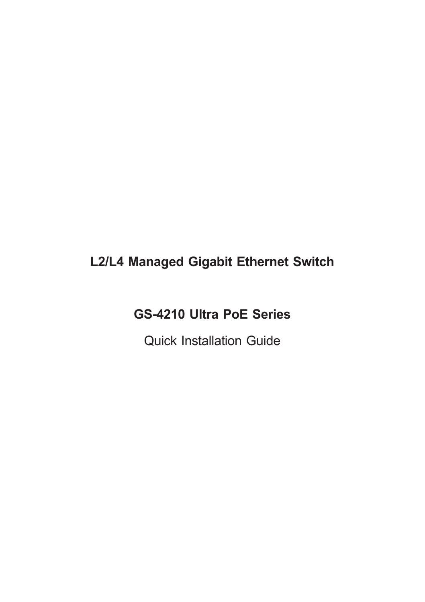# **L2/L4 Managed Gigabit Ethernet Switch**

### **GS-4210 Ultra PoE Series**

Quick Installation Guide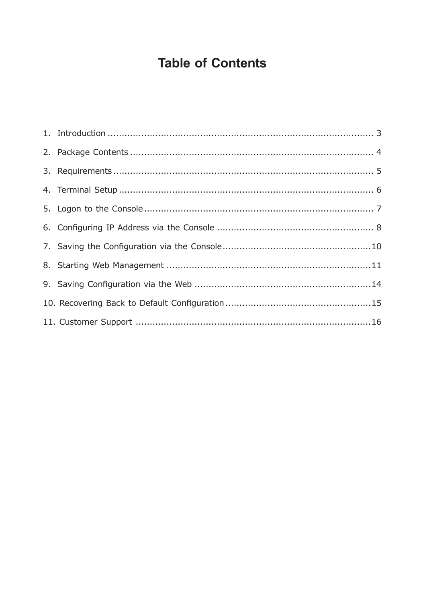# **Table of Contents**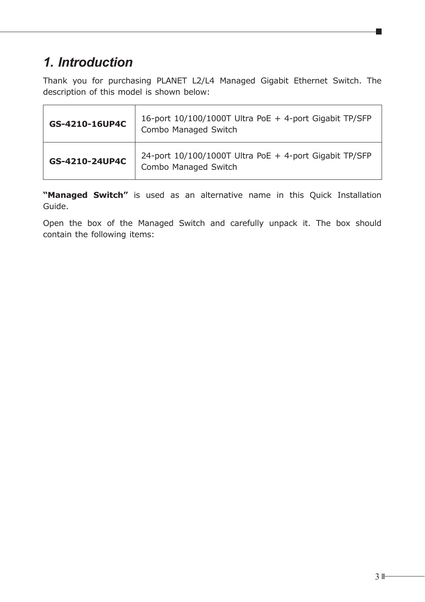# <span id="page-2-0"></span>*1. Introduction*

Thank you for purchasing PLANET L2/L4 Managed Gigabit Ethernet Switch. The description of this model is shown below:

| GS-4210-16UP4C | 16-port 10/100/1000T Ultra PoE + 4-port Gigabit TP/SFP<br>Combo Managed Switch |
|----------------|--------------------------------------------------------------------------------|
| GS-4210-24UP4C | 24-port 10/100/1000T Ultra PoE + 4-port Gigabit TP/SFP<br>Combo Managed Switch |

**"Managed Switch"** is used as an alternative name in this Quick Installation Guide.

Open the box of the Managed Switch and carefully unpack it. The box should contain the following items:

Ð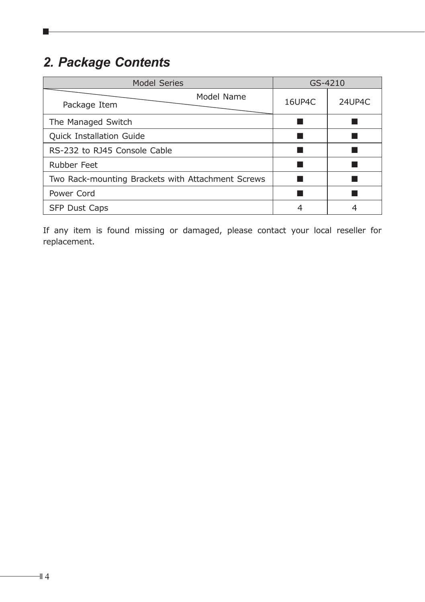# *2. Package Contents*

<span id="page-3-0"></span> $\overline{\phantom{a}}$ 

| <b>Model Series</b>                               | GS-4210 |        |
|---------------------------------------------------|---------|--------|
| Model Name<br>Package Item                        | 16UP4C  | 24UP4C |
| The Managed Switch                                |         |        |
| <b>Quick Installation Guide</b>                   |         |        |
| RS-232 to RJ45 Console Cable                      |         |        |
| <b>Rubber Feet</b>                                |         |        |
| Two Rack-mounting Brackets with Attachment Screws |         |        |
| Power Cord                                        |         |        |
| <b>SFP Dust Caps</b>                              |         |        |

If any item is found missing or damaged, please contact your local reseller for replacement.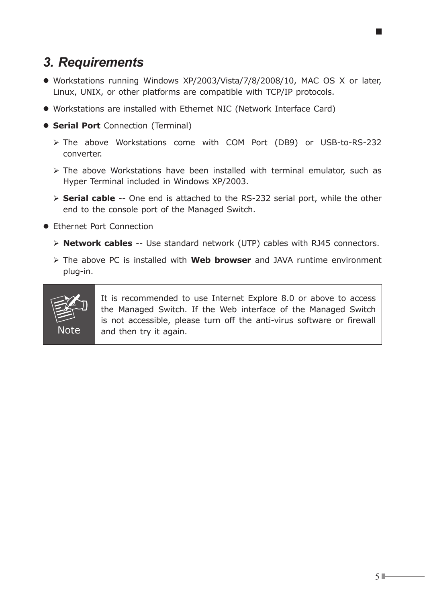### <span id="page-4-0"></span>*3. Requirements*

- Workstations running Windows XP/2003/Vista/7/8/2008/10, MAC OS X or later, Linux, UNIX, or other platforms are compatible with TCP/IP protocols.
- Workstations are installed with Ethernet NIC (Network Interface Card)
- **Serial Port** Connection (Terminal)
	- The above Workstations come with COM Port (DB9) or USB-to-RS-232 converter.
	- $\triangleright$  The above Workstations have been installed with terminal emulator, such as Hyper Terminal included in Windows XP/2003.
	- **Serial cable** -- One end is attached to the RS-232 serial port, while the other end to the console port of the Managed Switch.
- Ethernet Port Connection
	- **Network cables** -- Use standard network (UTP) cables with RJ45 connectors.
	- The above PC is installed with **Web browser** and JAVA runtime environment plug-in.



It is recommended to use Internet Explore 8.0 or above to access the Managed Switch. If the Web interface of the Managed Switch is not accessible, please turn off the anti-virus software or firewall and then try it again.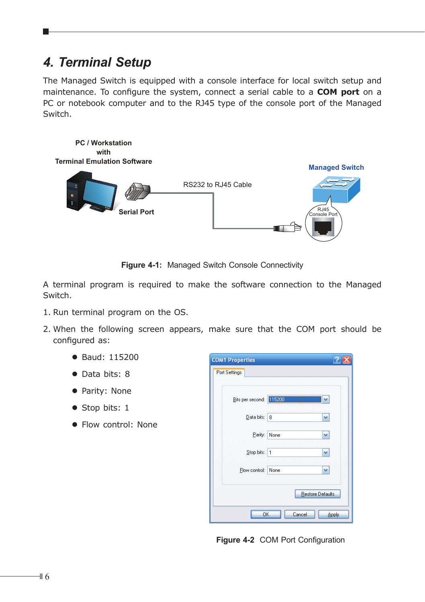### <span id="page-5-0"></span>*4. Terminal Setup*

The Managed Switch is equipped with a console interface for local switch setup and maintenance. To configure the system, connect a serial cable to a **COM port** on a PC or notebook computer and to the RJ45 type of the console port of the Managed Switch.



**Figure 4-1:** Managed Switch Console Connectivity

A terminal program is required to make the software connection to the Managed Switch.

- 1. Run terminal program on the OS.
- 2. When the following screen appears, make sure that the COM port should be configured as:
	- Baud: 115200
	- **a** Data bits: 8
	- Parity: None
	- $\bullet$  Stop bits: 1
	- Flow control: None

| <b>COM1 Properties</b>  |                         |       |
|-------------------------|-------------------------|-------|
| Port Settings           |                         |       |
| Bits per second: 115200 |                         |       |
| Data bits: 8            |                         |       |
| Parity:                 | None<br>٧               |       |
| Stop bits: 1            |                         |       |
| Flow control: None      |                         |       |
|                         | <b>Restore Defaults</b> |       |
| OK                      | Cancel                  | Apply |

**Figure 4-2** COM Port Configuration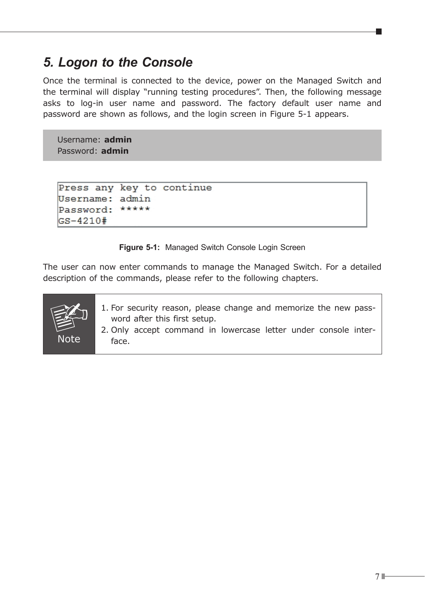# <span id="page-6-0"></span>*5. Logon to the Console*

Once the terminal is connected to the device, power on the Managed Switch and the terminal will display "running testing procedures". Then, the following message asks to log-in user name and password. The factory default user name and password are shown as follows, and the login screen in Figure 5-1 appears.

Username: **admin** Password: **admin**

```
Press any key to continue
Username: admin
Password: *****
GS - 4210#
```
**Figure 5-1:** Managed Switch Console Login Screen

The user can now enter commands to manage the Managed Switch. For a detailed description of the commands, please refer to the following chapters.

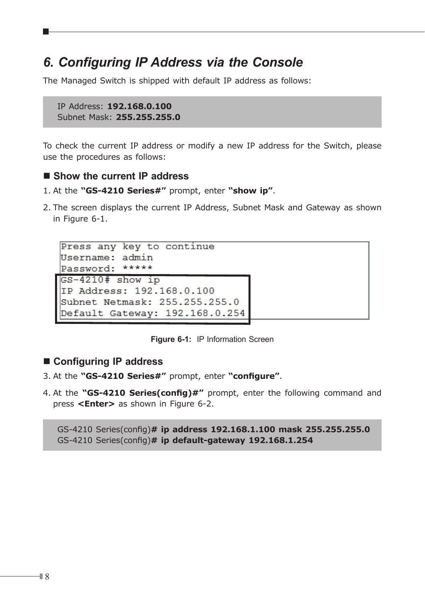### <span id="page-7-0"></span>*6. Configuring IP Address via the Console*

The Managed Switch is shipped with default IP address as follows:

IP Address: **192.168.0.100** Subnet Mask: **255.255.255.0**

To check the current IP address or modify a new IP address for the Switch, please use the procedures as follows:

#### ■ Show the current **IP** address

- 1. At the **"GS-4210 Series#"** prompt, enter **"show ip"**.
- 2. The screen displays the current IP Address, Subnet Mask and Gateway as shown in Figure 6-1.

```
Press any key to continue
Username: admin
Password: *****
|GS-4210# show ip
IP Address: 192.168.0.100
Subnet Netmask: 255.255.255.0
Default Gateway: 192.168.0.254
```
**Figure 6-1:** IP Information Screen

#### **Configuring IP address**

- 3. At the **"GS-4210 Series#"** prompt, enter **"configure"**.
- 4. At the **"GS-4210 Series(config)#"** prompt, enter the following command and press **<Enter>** as shown in Figure 6-2.

GS-4210 Series(config)**# ip address 192.168.1.100 mask 255.255.255.0** GS-4210 Series(config)**# ip default-gateway 192.168.1.254**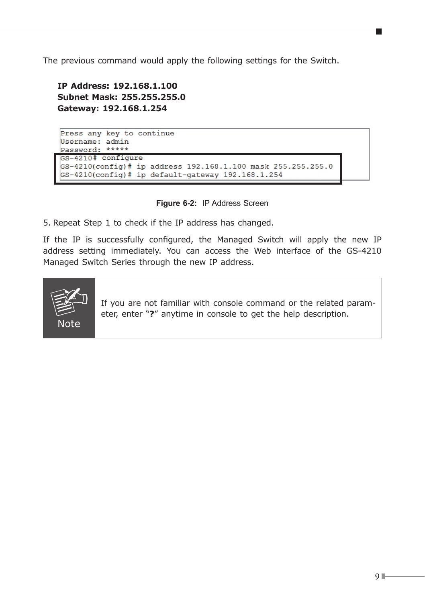The previous command would apply the following settings for the Switch.

**IP Address: 192.168.1.100 Subnet Mask: 255.255.255.0 Gateway: 192.168.1.254**

Press any key to continue Username: admin Password: \*\*\*\*\* GS-4210# configure  $|GS-4210$ (config)# ip address 192.168.1.100 mask 255.255.255.0 GS-4210(config)# ip default-gateway 192.168.1.254

**Figure 6-2:** IP Address Screen

5. Repeat Step 1 to check if the IP address has changed.

If the IP is successfully configured, the Managed Switch will apply the new IP address setting immediately. You can access the Web interface of the GS-4210 Managed Switch Series through the new IP address.



If you are not familiar with console command or the related parameter, enter "**?**" anytime in console to get the help description.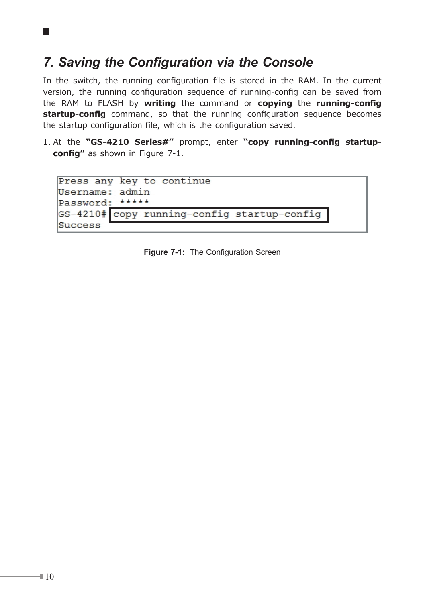### <span id="page-9-0"></span>*7. Saving the Configuration via the Console*

In the switch, the running configuration file is stored in the RAM. In the current version, the running configuration sequence of running-config can be saved from the RAM to FLASH by **writing** the command or **copying** the **running-config startup-config** command, so that the running configuration sequence becomes the startup configuration file, which is the configuration saved.

1. At the **"GS-4210 Series#"** prompt, enter **"copy running-config startupconfig"** as shown in Figure 7-1.

```
Press any key to continue
Username: admin
Password: *****
GS-4210# copy running-config startup-config
Success
```
**Figure 7-1:** The Configuration Screen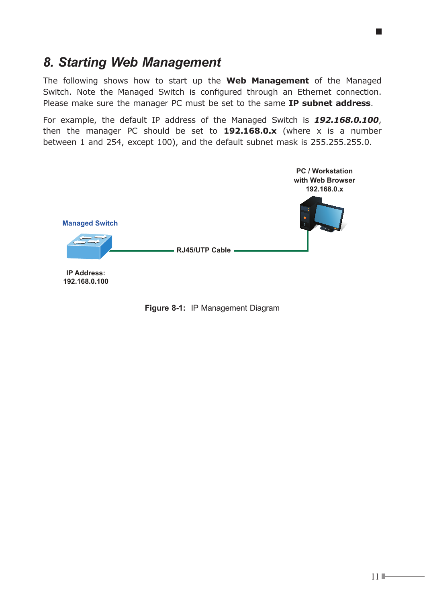### <span id="page-10-0"></span>*8. Starting Web Management*

The following shows how to start up the **Web Management** of the Managed Switch. Note the Managed Switch is configured through an Ethernet connection. Please make sure the manager PC must be set to the same **IP subnet address**.

For example, the default IP address of the Managed Switch is *192.168.0.100*, then the manager PC should be set to **192.168.0.x** (where x is a number between 1 and 254, except 100), and the default subnet mask is 255.255.255.0.



**Figure 8-1:** IP Management Diagram

. .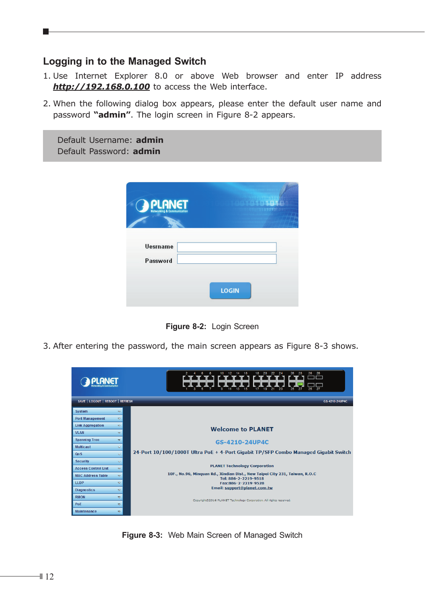#### **Logging in to the Managed Switch**

- 1. Use Internet Explorer 8.0 or above Web browser and enter IP address *<http://192.168.0.100>* to access the Web interface.
- 2. When the following dialog box appears, please enter the default user name and password **"admin"**. The login screen in Figure 8-2 appears.

| Default Username: admin<br>Default Password: admin |  |
|----------------------------------------------------|--|
| <b>PLANET</b><br><b>Uesmame</b><br>Password        |  |
| <b>LOGIN</b>                                       |  |

**Figure 8-2:** Login Screen

3. After entering the password, the main screen appears as Figure 8-3 shows.



**Figure 8-3:** Web Main Screen of Managed Switch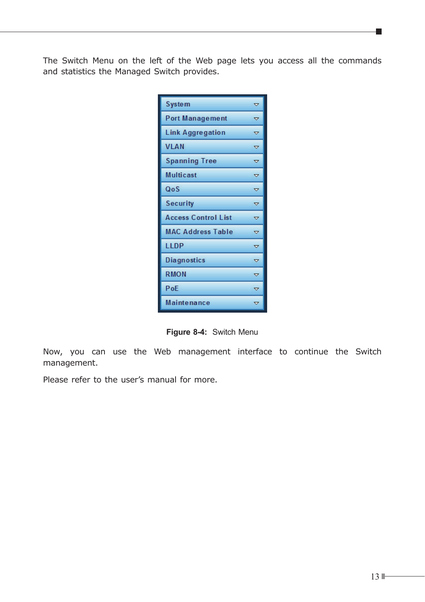The Switch Menu on the left of the Web page lets you access all the commands and statistics the Managed Switch provides.

| <b>System</b>              | ▽                          |
|----------------------------|----------------------------|
| <b>Port Management</b>     | ▽                          |
| <b>Link Aggregation</b>    | ᢦ                          |
| <b>VLAN</b>                | $\overline{\mathbf{v}}$    |
| <b>Spanning Tree</b>       | $\overline{\phantom{0}}$   |
| <b>Multicast</b>           | $\overline{\phantom{0}}$   |
| QoS                        | ▽                          |
| <b>Security</b>            | $\overline{a}$             |
| <b>Access Control List</b> | $\overline{ }$             |
| <b>MAC Address Table</b>   | $\overline{a}$             |
| LLDP                       | ᇦ                          |
| <b>Diagnostics</b>         | $\overline{\triangledown}$ |
| <b>RMON</b>                | ᇦ                          |
| PoF                        | $\overline{\triangledown}$ |
| <b>Maintenance</b>         | ᇦ                          |

**Figure 8-4:** Switch Menu

Now, you can use the Web management interface to continue the Switch management.

Please refer to the user's manual for more.

Ð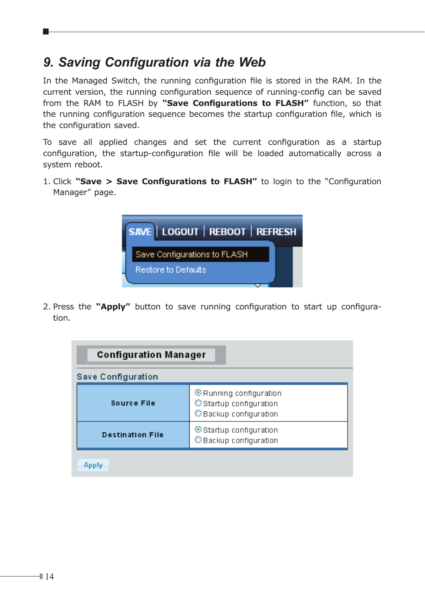### <span id="page-13-0"></span>*9. Saving Configuration via the Web*

In the Managed Switch, the running configuration file is stored in the RAM. In the current version, the running configuration sequence of running-config can be saved from the RAM to FLASH by **"Save Configurations to FLASH"** function, so that the running configuration sequence becomes the startup configuration file, which is the configuration saved.

To save all applied changes and set the current configuration as a startup configuration, the startup-configuration file will be loaded automatically across a system reboot.

1. Click **"Save > Save Configurations to FLASH"** to login to the "Configuration Manager" page.



2. Press the **"Apply"** button to save running configuration to start up configuration.

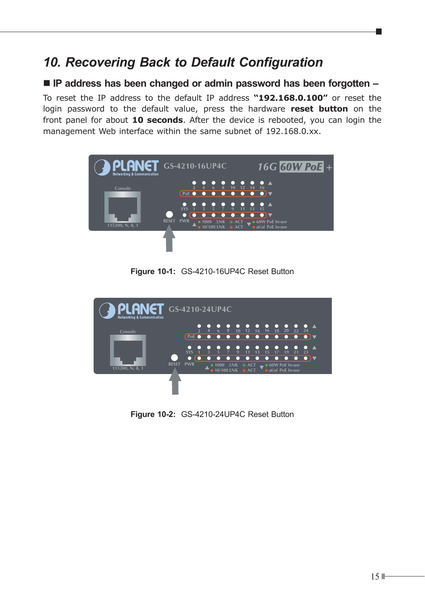# <span id="page-14-0"></span>*10. Recovering Back to Default Configuration*

#### ■ **IP** address has been changed or admin password has been forgotten –

To reset the IP address to the default IP address **"192.168.0.100"** or reset the login password to the default value, press the hardware **reset button** on the front panel for about **10 seconds**. After the device is rebooted, you can login the management Web interface within the same subnet of 192.168.0.xx.



**Figure 10-1:** GS-4210-16UP4C Reset Button



**Figure 10-2:** GS-4210-24UP4C Reset Button